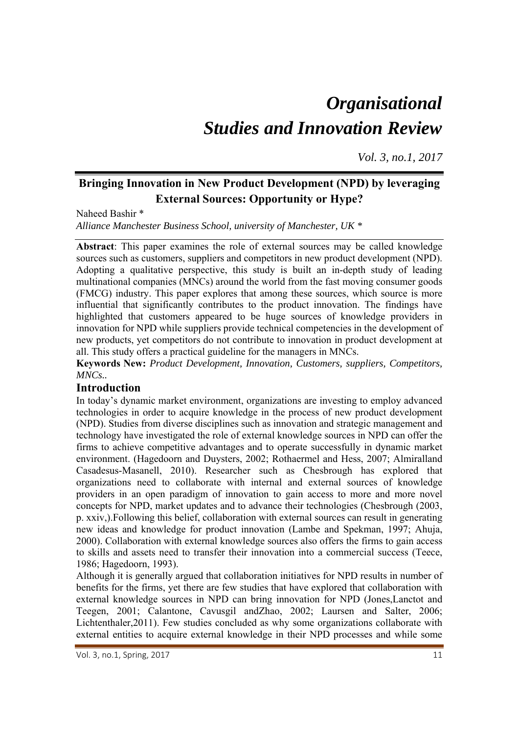# *Organisational Studies and Innovation Review*

*Vol. 3, no.1, 2017*

## **Bringing Innovation in New Product Development (NPD) by leveraging External Sources: Opportunity or Hype?**

Naheed Bashir \* *Alliance Manchester Business School, university of Manchester, UK \** 

**Abstract**: This paper examines the role of external sources may be called knowledge sources such as customers, suppliers and competitors in new product development (NPD). Adopting a qualitative perspective, this study is built an in-depth study of leading multinational companies (MNCs) around the world from the fast moving consumer goods (FMCG) industry. This paper explores that among these sources, which source is more influential that significantly contributes to the product innovation. The findings have highlighted that customers appeared to be huge sources of knowledge providers in innovation for NPD while suppliers provide technical competencies in the development of new products, yet competitors do not contribute to innovation in product development at all. This study offers a practical guideline for the managers in MNCs.

**Keywords New:** *Product Development, Innovation, Customers, suppliers, Competitors, MNCs..* 

### **Introduction**

In today's dynamic market environment, organizations are investing to employ advanced technologies in order to acquire knowledge in the process of new product development (NPD). Studies from diverse disciplines such as innovation and strategic management and technology have investigated the role of external knowledge sources in NPD can offer the firms to achieve competitive advantages and to operate successfully in dynamic market environment. (Hagedoorn and Duysters, 2002; Rothaermel and Hess, 2007; Almiralland Casadesus-Masanell, 2010). Researcher such as Chesbrough has explored that organizations need to collaborate with internal and external sources of knowledge providers in an open paradigm of innovation to gain access to more and more novel concepts for NPD, market updates and to advance their technologies (Chesbrough (2003, p. xxiv,).Following this belief, collaboration with external sources can result in generating new ideas and knowledge for product innovation (Lambe and Spekman, 1997; Ahuja, 2000). Collaboration with external knowledge sources also offers the firms to gain access to skills and assets need to transfer their innovation into a commercial success (Teece, 1986; Hagedoorn, 1993).

Although it is generally argued that collaboration initiatives for NPD results in number of benefits for the firms, yet there are few studies that have explored that collaboration with external knowledge sources in NPD can bring innovation for NPD (Jones,Lanctot and Teegen, 2001; Calantone, Cavusgil andZhao, 2002; Laursen and Salter, 2006; Lichtenthaler,2011). Few studies concluded as why some organizations collaborate with external entities to acquire external knowledge in their NPD processes and while some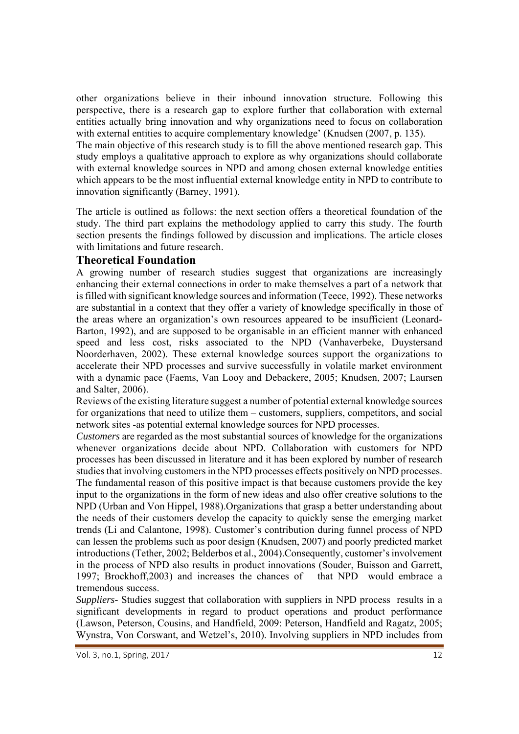other organizations believe in their inbound innovation structure. Following this perspective, there is a research gap to explore further that collaboration with external entities actually bring innovation and why organizations need to focus on collaboration with external entities to acquire complementary knowledge' (Knudsen (2007, p. 135). The main objective of this research study is to fill the above mentioned research gap. This

study employs a qualitative approach to explore as why organizations should collaborate with external knowledge sources in NPD and among chosen external knowledge entities which appears to be the most influential external knowledge entity in NPD to contribute to innovation significantly (Barney, 1991).

The article is outlined as follows: the next section offers a theoretical foundation of the study. The third part explains the methodology applied to carry this study. The fourth section presents the findings followed by discussion and implications. The article closes with limitations and future research.

#### **Theoretical Foundation**

A growing number of research studies suggest that organizations are increasingly enhancing their external connections in order to make themselves a part of a network that is filled with significant knowledge sources and information (Teece, 1992). These networks are substantial in a context that they offer a variety of knowledge specifically in those of the areas where an organization's own resources appeared to be insufficient (Leonard-Barton, 1992), and are supposed to be organisable in an efficient manner with enhanced speed and less cost, risks associated to the NPD (Vanhaverbeke, Duystersand Noorderhaven, 2002). These external knowledge sources support the organizations to accelerate their NPD processes and survive successfully in volatile market environment with a dynamic pace (Faems, Van Looy and Debackere, 2005; Knudsen, 2007; Laursen and Salter, 2006).

Reviews of the existing literature suggest a number of potential external knowledge sources for organizations that need to utilize them – customers, suppliers, competitors, and social network sites -as potential external knowledge sources for NPD processes.

*Customers* are regarded as the most substantial sources of knowledge for the organizations whenever organizations decide about NPD. Collaboration with customers for NPD processes has been discussed in literature and it has been explored by number of research studies that involving customers in the NPD processes effects positively on NPD processes. The fundamental reason of this positive impact is that because customers provide the key input to the organizations in the form of new ideas and also offer creative solutions to the NPD (Urban and Von Hippel, 1988).Organizations that grasp a better understanding about the needs of their customers develop the capacity to quickly sense the emerging market trends (Li and Calantone, 1998). Customer's contribution during funnel process of NPD can lessen the problems such as poor design (Knudsen, 2007) and poorly predicted market introductions (Tether, 2002; Belderbos et al., 2004).Consequently, customer's involvement in the process of NPD also results in product innovations (Souder, Buisson and Garrett, 1997; Brockhoff,2003) and increases the chances of that NPD would embrace a tremendous success.

*Suppliers-* Studies suggest that collaboration with suppliers in NPD process results in a significant developments in regard to product operations and product performance (Lawson, Peterson, Cousins, and Handfield, 2009: Peterson, Handfield and Ragatz, 2005; Wynstra, Von Corswant, and Wetzel's, 2010). Involving suppliers in NPD includes from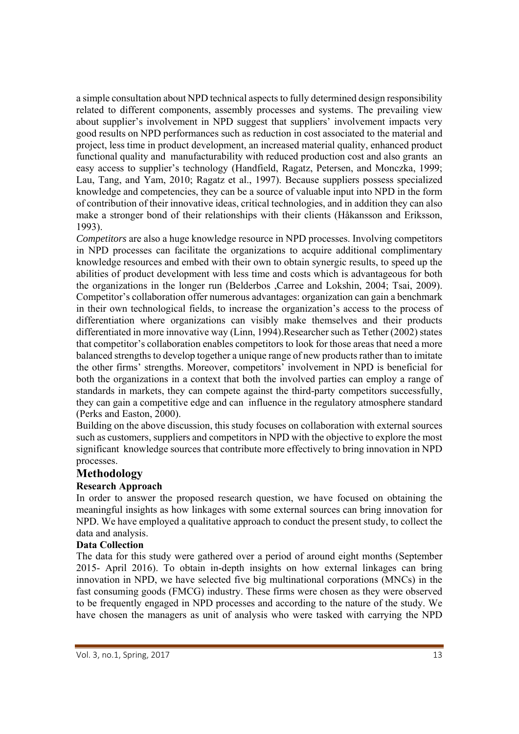a simple consultation about NPD technical aspects to fully determined design responsibility related to different components, assembly processes and systems. The prevailing view about supplier's involvement in NPD suggest that suppliers' involvement impacts very good results on NPD performances such as reduction in cost associated to the material and project, less time in product development, an increased material quality, enhanced product functional quality and manufacturability with reduced production cost and also grants an easy access to supplier's technology (Handfield, Ragatz, Petersen, and Monczka, 1999; Lau, Tang, and Yam, 2010; Ragatz et al., 1997). Because suppliers possess specialized knowledge and competencies, they can be a source of valuable input into NPD in the form of contribution of their innovative ideas, critical technologies, and in addition they can also make a stronger bond of their relationships with their clients (Håkansson and Eriksson, 1993).

*Competitors* are also a huge knowledge resource in NPD processes. Involving competitors in NPD processes can facilitate the organizations to acquire additional complimentary knowledge resources and embed with their own to obtain synergic results, to speed up the abilities of product development with less time and costs which is advantageous for both the organizations in the longer run (Belderbos ,Carree and Lokshin, 2004; Tsai, 2009). Competitor's collaboration offer numerous advantages: organization can gain a benchmark in their own technological fields, to increase the organization's access to the process of differentiation where organizations can visibly make themselves and their products differentiated in more innovative way (Linn, 1994).Researcher such as Tether (2002) states that competitor's collaboration enables competitors to look for those areas that need a more balanced strengths to develop together a unique range of new products rather than to imitate the other firms' strengths. Moreover, competitors' involvement in NPD is beneficial for both the organizations in a context that both the involved parties can employ a range of standards in markets, they can compete against the third-party competitors successfully, they can gain a competitive edge and can influence in the regulatory atmosphere standard (Perks and Easton, 2000).

Building on the above discussion, this study focuses on collaboration with external sources such as customers, suppliers and competitors in NPD with the objective to explore the most significant knowledge sources that contribute more effectively to bring innovation in NPD processes.

#### **Methodology**

#### **Research Approach**

In order to answer the proposed research question, we have focused on obtaining the meaningful insights as how linkages with some external sources can bring innovation for NPD. We have employed a qualitative approach to conduct the present study, to collect the data and analysis.

#### **Data Collection**

The data for this study were gathered over a period of around eight months (September 2015- April 2016). To obtain in-depth insights on how external linkages can bring innovation in NPD, we have selected five big multinational corporations (MNCs) in the fast consuming goods (FMCG) industry. These firms were chosen as they were observed to be frequently engaged in NPD processes and according to the nature of the study. We have chosen the managers as unit of analysis who were tasked with carrying the NPD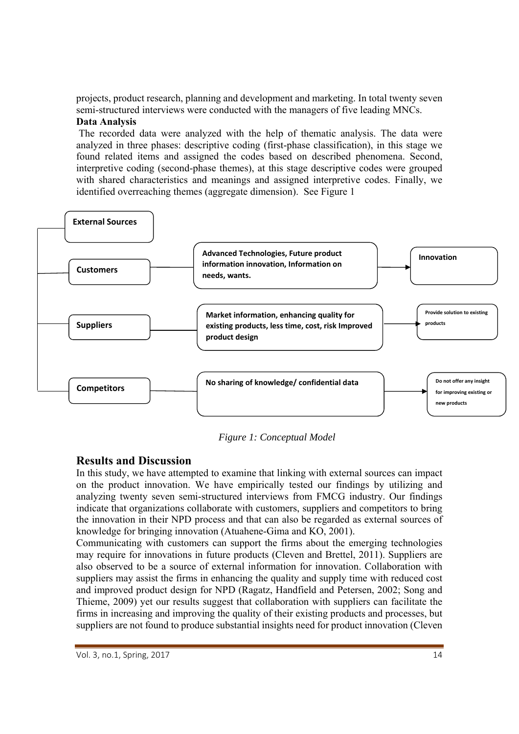projects, product research, planning and development and marketing. In total twenty seven semi-structured interviews were conducted with the managers of five leading MNCs. **Data Analysis**

 The recorded data were analyzed with the help of thematic analysis. The data were analyzed in three phases: descriptive coding (first-phase classification), in this stage we found related items and assigned the codes based on described phenomena. Second, interpretive coding (second-phase themes), at this stage descriptive codes were grouped with shared characteristics and meanings and assigned interpretive codes. Finally, we identified overreaching themes (aggregate dimension). See Figure 1



 *Figure 1: Conceptual Model* 

#### **Results and Discussion**

In this study, we have attempted to examine that linking with external sources can impact on the product innovation. We have empirically tested our findings by utilizing and analyzing twenty seven semi-structured interviews from FMCG industry. Our findings indicate that organizations collaborate with customers, suppliers and competitors to bring the innovation in their NPD process and that can also be regarded as external sources of knowledge for bringing innovation (Atuahene-Gima and KO, 2001).

Communicating with customers can support the firms about the emerging technologies may require for innovations in future products (Cleven and Brettel, 2011). Suppliers are also observed to be a source of external information for innovation. Collaboration with suppliers may assist the firms in enhancing the quality and supply time with reduced cost and improved product design for NPD (Ragatz, Handfield and Petersen, 2002; Song and Thieme, 2009) yet our results suggest that collaboration with suppliers can facilitate the firms in increasing and improving the quality of their existing products and processes, but suppliers are not found to produce substantial insights need for product innovation (Cleven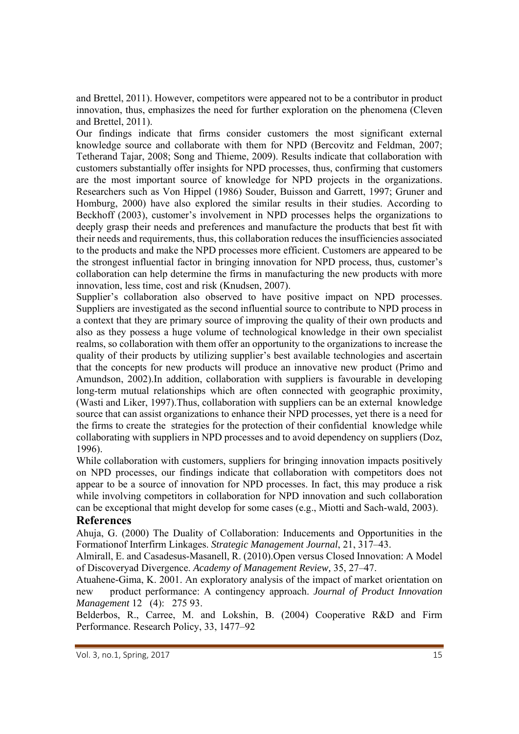and Brettel, 2011). However, competitors were appeared not to be a contributor in product innovation, thus, emphasizes the need for further exploration on the phenomena (Cleven and Brettel, 2011).

Our findings indicate that firms consider customers the most significant external knowledge source and collaborate with them for NPD (Bercovitz and Feldman, 2007; Tetherand Tajar, 2008; Song and Thieme, 2009). Results indicate that collaboration with customers substantially offer insights for NPD processes, thus, confirming that customers are the most important source of knowledge for NPD projects in the organizations. Researchers such as Von Hippel (1986) Souder, Buisson and Garrett, 1997; Gruner and Homburg, 2000) have also explored the similar results in their studies. According to Beckhoff (2003), customer's involvement in NPD processes helps the organizations to deeply grasp their needs and preferences and manufacture the products that best fit with their needs and requirements, thus, this collaboration reduces the insufficiencies associated to the products and make the NPD processes more efficient. Customers are appeared to be the strongest influential factor in bringing innovation for NPD process, thus, customer's collaboration can help determine the firms in manufacturing the new products with more innovation, less time, cost and risk (Knudsen, 2007).

Supplier's collaboration also observed to have positive impact on NPD processes. Suppliers are investigated as the second influential source to contribute to NPD process in a context that they are primary source of improving the quality of their own products and also as they possess a huge volume of technological knowledge in their own specialist realms, so collaboration with them offer an opportunity to the organizations to increase the quality of their products by utilizing supplier's best available technologies and ascertain that the concepts for new products will produce an innovative new product (Primo and Amundson, 2002).In addition, collaboration with suppliers is favourable in developing long-term mutual relationships which are often connected with geographic proximity, (Wasti and Liker, 1997).Thus, collaboration with suppliers can be an external knowledge source that can assist organizations to enhance their NPD processes, yet there is a need for the firms to create the strategies for the protection of their confidential knowledge while collaborating with suppliers in NPD processes and to avoid dependency on suppliers (Doz, 1996).

While collaboration with customers, suppliers for bringing innovation impacts positively on NPD processes, our findings indicate that collaboration with competitors does not appear to be a source of innovation for NPD processes. In fact, this may produce a risk while involving competitors in collaboration for NPD innovation and such collaboration can be exceptional that might develop for some cases (e.g., Miotti and Sach-wald, 2003).

#### **References**

Ahuja, G. (2000) The Duality of Collaboration: Inducements and Opportunities in the Formationof Interfirm Linkages. *Strategic Management Journal*, 21, 317–43.

Almirall, E. and Casadesus-Masanell, R. (2010).Open versus Closed Innovation: A Model of Discoveryad Divergence. *Academy of Management Review,* 35, 27–47.

Atuahene-Gima, K. 2001. An exploratory analysis of the impact of market orientation on new product performance: A contingency approach. *Journal of Product Innovation Management* 12 (4): 275 93.

Belderbos, R., Carree, M. and Lokshin, B. (2004) Cooperative R&D and Firm Performance. Research Policy, 33, 1477–92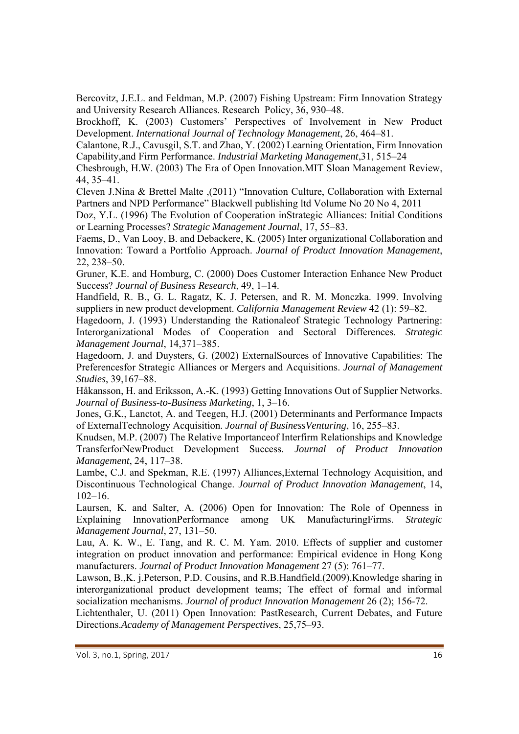Bercovitz, J.E.L. and Feldman, M.P. (2007) Fishing Upstream: Firm Innovation Strategy and University Research Alliances. Research Policy, 36, 930–48.

Brockhoff, K. (2003) Customers' Perspectives of Involvement in New Product Development. *International Journal of Technology Management*, 26, 464–81.

Calantone, R.J., Cavusgil, S.T. and Zhao, Y. (2002) Learning Orientation, Firm Innovation Capability,and Firm Performance. *Industrial Marketing Management*,31, 515–24

Chesbrough, H.W. (2003) The Era of Open Innovation.MIT Sloan Management Review, 44, 35–41.

Cleven J.Nina & Brettel Malte ,(2011) "Innovation Culture, Collaboration with External Partners and NPD Performance" Blackwell publishing ltd Volume No 20 No 4, 2011

Doz, Y.L. (1996) The Evolution of Cooperation inStrategic Alliances: Initial Conditions or Learning Processes? *Strategic Management Journal*, 17, 55–83.

Faems, D., Van Looy, B. and Debackere, K. (2005) Inter organizational Collaboration and Innovation: Toward a Portfolio Approach. *Journal of Product Innovation Management*, 22, 238–50.

Gruner, K.E. and Homburg, C. (2000) Does Customer Interaction Enhance New Product Success? *Journal of Business Research*, 49, 1–14.

Handfield, R. B., G. L. Ragatz, K. J. Petersen, and R. M. Monczka. 1999. Involving suppliers in new product development. *California Management Review* 42 (1): 59–82.

Hagedoorn, J. (1993) Understanding the Rationaleof Strategic Technology Partnering: Interorganizational Modes of Cooperation and Sectoral Differences. *Strategic Management Journal*, 14,371–385.

Hagedoorn, J. and Duysters, G. (2002) ExternalSources of Innovative Capabilities: The Preferencesfor Strategic Alliances or Mergers and Acquisitions. *Journal of Management Studies*, 39,167–88.

Håkansson, H. and Eriksson, A.-K. (1993) Getting Innovations Out of Supplier Networks. *Journal of Business-to-Business Marketing*, 1, 3–16.

Jones, G.K., Lanctot, A. and Teegen, H.J. (2001) Determinants and Performance Impacts of ExternalTechnology Acquisition. *Journal of BusinessVenturing*, 16, 255–83.

Knudsen, M.P. (2007) The Relative Importanceof Interfirm Relationships and Knowledge TransferforNewProduct Development Success. *Journal of Product Innovation Management*, 24, 117–38.

Lambe, C.J. and Spekman, R.E. (1997) Alliances,External Technology Acquisition, and Discontinuous Technological Change. *Journal of Product Innovation Management*, 14,  $102-16.$ 

Laursen, K. and Salter, A. (2006) Open for Innovation: The Role of Openness in Explaining InnovationPerformance among UK ManufacturingFirms. *Strategic Management Journal*, 27, 131–50.

Lau, A. K. W., E. Tang, and R. C. M. Yam. 2010. Effects of supplier and customer integration on product innovation and performance: Empirical evidence in Hong Kong manufacturers. *Journal of Product Innovation Management* 27 (5): 761–77.

Lawson, B.,K. j.Peterson, P.D. Cousins, and R.B.Handfield.(2009).Knowledge sharing in interorganizational product development teams; The effect of formal and informal socialization mechanisms. *Journal of product Innovation Management* 26 (2); 156-72.

Lichtenthaler, U. (2011) Open Innovation: PastResearch, Current Debates, and Future Directions.*Academy of Management Perspectives*, 25,75–93.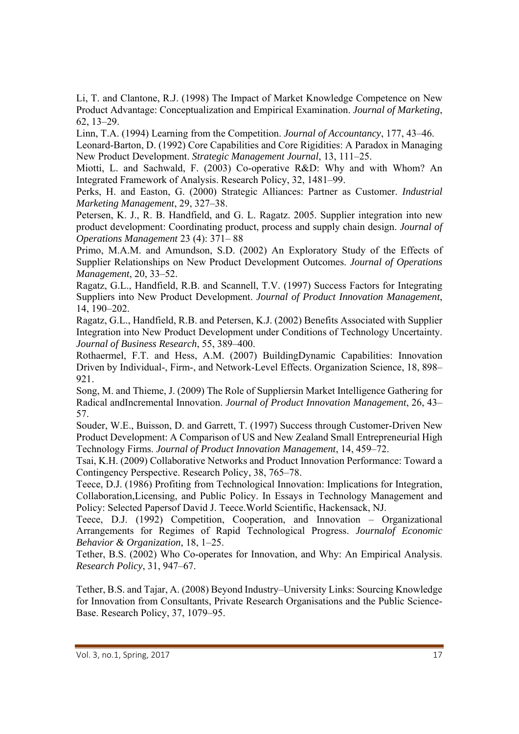Li, T. and Clantone, R.J. (1998) The Impact of Market Knowledge Competence on New Product Advantage: Conceptualization and Empirical Examination. *Journal of Marketing*, 62, 13–29.

Linn, T.A. (1994) Learning from the Competition. *Journal of Accountancy*, 177, 43–46.

Leonard-Barton, D. (1992) Core Capabilities and Core Rigidities: A Paradox in Managing New Product Development. *Strategic Management Journal*, 13, 111–25.

Miotti, L. and Sachwald, F. (2003) Co-operative R&D: Why and with Whom? An Integrated Framework of Analysis. Research Policy, 32, 1481–99.

Perks, H. and Easton, G. (2000) Strategic Alliances: Partner as Customer. *Industrial Marketing Management*, 29, 327–38.

Petersen, K. J., R. B. Handfield, and G. L. Ragatz. 2005. Supplier integration into new product development: Coordinating product, process and supply chain design. *Journal of Operations Management* 23 (4): 371– 88

Primo, M.A.M. and Amundson, S.D. (2002) An Exploratory Study of the Effects of Supplier Relationships on New Product Development Outcomes. *Journal of Operations Management*, 20, 33–52.

Ragatz, G.L., Handfield, R.B. and Scannell, T.V. (1997) Success Factors for Integrating Suppliers into New Product Development. *Journal of Product Innovation Management*, 14, 190–202.

Ragatz, G.L., Handfield, R.B. and Petersen, K.J. (2002) Benefits Associated with Supplier Integration into New Product Development under Conditions of Technology Uncertainty. *Journal of Business Research*, 55, 389–400.

Rothaermel, F.T. and Hess, A.M. (2007) BuildingDynamic Capabilities: Innovation Driven by Individual-, Firm-, and Network-Level Effects. Organization Science, 18, 898– 921.

Song, M. and Thieme, J. (2009) The Role of Suppliersin Market Intelligence Gathering for Radical andIncremental Innovation. *Journal of Product Innovation Management*, 26, 43– 57.

Souder, W.E., Buisson, D. and Garrett, T. (1997) Success through Customer-Driven New Product Development: A Comparison of US and New Zealand Small Entrepreneurial High Technology Firms. *Journal of Product Innovation Management*, 14, 459–72.

Tsai, K.H. (2009) Collaborative Networks and Product Innovation Performance: Toward a Contingency Perspective. Research Policy, 38, 765–78.

Teece, D.J. (1986) Profiting from Technological Innovation: Implications for Integration, Collaboration,Licensing, and Public Policy. In Essays in Technology Management and Policy: Selected Papersof David J. Teece.World Scientific, Hackensack, NJ.

Teece, D.J. (1992) Competition, Cooperation, and Innovation – Organizational Arrangements for Regimes of Rapid Technological Progress. *Journalof Economic Behavior & Organization*, 18, 1–25.

Tether, B.S. (2002) Who Co-operates for Innovation, and Why: An Empirical Analysis. *Research Policy*, 31, 947–67.

Tether, B.S. and Tajar, A. (2008) Beyond Industry–University Links: Sourcing Knowledge for Innovation from Consultants, Private Research Organisations and the Public Science-Base. Research Policy, 37, 1079–95.